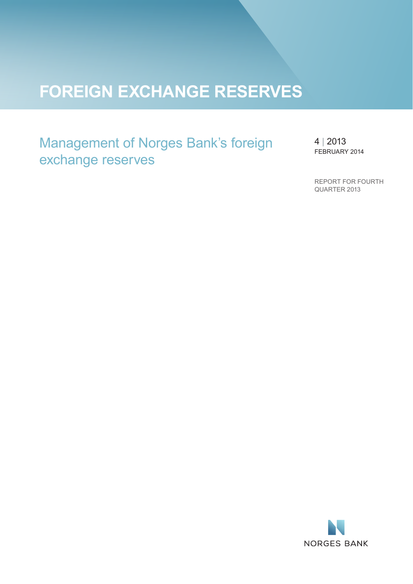# **FOREIGN EXCHANGE RESERVES**

Management of Norges Bank's foreign exchange reserves

4 | 2013 FEBRUARY 2014

REPORT FOR FOURTH QUARTER 2013

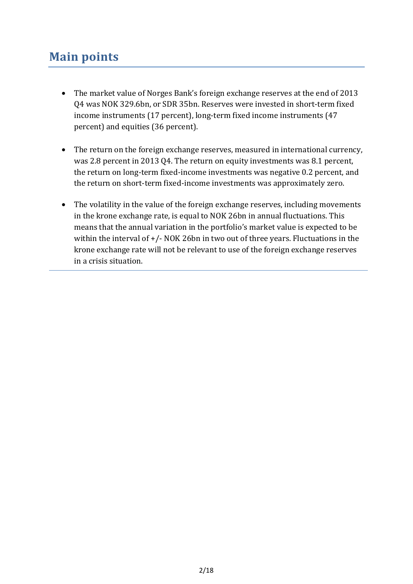## **Main points**

- The market value of Norges Bank's foreign exchange reserves at the end of 2013 Q4 was NOK 329.6bn, or SDR 35bn. Reserves were invested in short-term fixed income instruments (17 percent), long-term fixed income instruments (47 percent) and equities (36 percent).
- The return on the foreign exchange reserves, measured in international currency, was 2.8 percent in 2013 Q4. The return on equity investments was 8.1 percent, the return on long-term fixed-income investments was negative 0.2 percent, and the return on short-term fixed-income investments was approximately zero.
- The volatility in the value of the foreign exchange reserves, including movements in the krone exchange rate, is equal to NOK 26bn in annual fluctuations. This means that the annual variation in the portfolio's market value is expected to be within the interval of  $+/-$  NOK 26bn in two out of three years. Fluctuations in the krone exchange rate will not be relevant to use of the foreign exchange reserves in a crisis situation.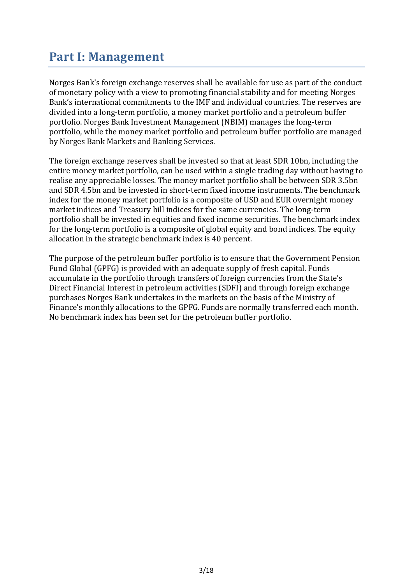## **Part I: Management**

Norges Bank's foreign exchange reserves shall be available for use as part of the conduct of monetary policy with a view to promoting financial stability and for meeting Norges Bank's international commitments to the IMF and individual countries. The reserves are divided into a long-term portfolio, a money market portfolio and a petroleum buffer portfolio. Norges Bank Investment Management (NBIM) manages the long-term portfolio, while the money market portfolio and petroleum buffer portfolio are managed by Norges Bank Markets and Banking Services.

The foreign exchange reserves shall be invested so that at least SDR 10bn, including the entire money market portfolio, can be used within a single trading day without having to realise any appreciable losses. The money market portfolio shall be between SDR 3.5bn and SDR 4.5bn and be invested in short-term fixed income instruments. The benchmark index for the money market portfolio is a composite of USD and EUR overnight money market indices and Treasury bill indices for the same currencies. The long-term portfolio shall be invested in equities and fixed income securities. The benchmark index for the long-term portfolio is a composite of global equity and bond indices. The equity allocation in the strategic benchmark index is 40 percent.

The purpose of the petroleum buffer portfolio is to ensure that the Government Pension Fund Global (GPFG) is provided with an adequate supply of fresh capital. Funds accumulate in the portfolio through transfers of foreign currencies from the State's Direct Financial Interest in petroleum activities (SDFI) and through foreign exchange purchases Norges Bank undertakes in the markets on the basis of the Ministry of Finance's monthly allocations to the GPFG. Funds are normally transferred each month. No benchmark index has been set for the petroleum buffer portfolio.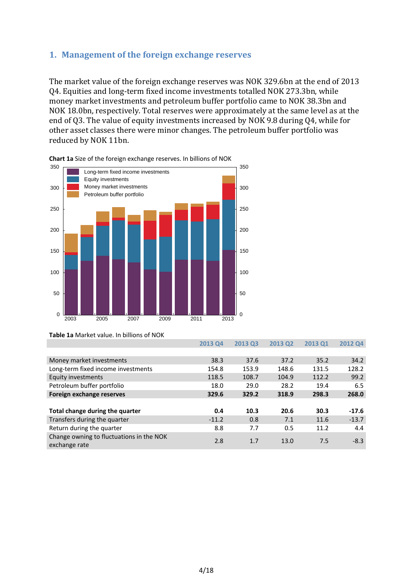## **1. Management of the foreign exchange reserves**

The market value of the foreign exchange reserves was NOK 329.6bn at the end of 2013 Q4. Equities and long-term fixed income investments totalled NOK 273.3bn, while money market investments and petroleum buffer portfolio came to NOK 38.3bn and NOK 18.0bn, respectively. Total reserves were approximately at the same level as at the end of Q3. The value of equity investments increased by NOK 9.8 during Q4, while for other asset classes there were minor changes. The petroleum buffer portfolio was reduced by NOK 11bn.





**Table 1a** Market value. In billions of NOK

|                                                           | ZU13 U4 | ZUIS US | ZUIS UZ | <b>LD CTOZ</b> | ZUIZ Q4 |
|-----------------------------------------------------------|---------|---------|---------|----------------|---------|
|                                                           |         |         |         |                |         |
| Money market investments                                  | 38.3    | 37.6    | 37.2    | 35.2           | 34.2    |
| Long-term fixed income investments                        | 154.8   | 153.9   | 148.6   | 131.5          | 128.2   |
| Equity investments                                        | 118.5   | 108.7   | 104.9   | 112.2          | 99.2    |
| Petroleum buffer portfolio                                | 18.0    | 29.0    | 28.2    | 19.4           | 6.5     |
| Foreign exchange reserves                                 | 329.6   | 329.2   | 318.9   | 298.3          | 268.0   |
|                                                           |         |         |         |                |         |
| Total change during the quarter                           | 0.4     | 10.3    | 20.6    | 30.3           | $-17.6$ |
| Transfers during the quarter                              | $-11.2$ | 0.8     | 7.1     | 11.6           | $-13.7$ |
| Return during the quarter                                 | 8.8     | 7.7     | 0.5     | 11.2           | 4.4     |
| Change owning to fluctuations in the NOK<br>exchange rate | 2.8     | 1.7     | 13.0    | 7.5            | $-8.3$  |

**2013 Q4 2013 Q3 2013 Q2 2013 Q1 2012 Q4**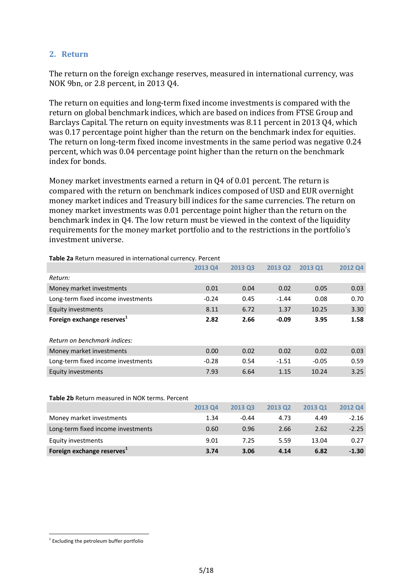## **2. Return**

The return on the foreign exchange reserves, measured in international currency, was NOK 9bn, or 2.8 percent, in 2013 Q4.

The return on equities and long-term fixed income investments is compared with the return on global benchmark indices, which are based on indices from FTSE Group and Barclays Capital. The return on equity investments was 8.11 percent in 2013 Q4, which was 0.17 percentage point higher than the return on the benchmark index for equities. The return on long-term fixed income investments in the same period was negative 0.24 percent, which was 0.04 percentage point higher than the return on the benchmark index for bonds.

Money market investments earned a return in Q4 of 0.01 percent. The return is compared with the return on benchmark indices composed of USD and EUR overnight money market indices and Treasury bill indices for the same currencies. The return on money market investments was 0.01 percentage point higher than the return on the benchmark index in Q4. The low return must be viewed in the context of the liquidity requirements for the money market portfolio and to the restrictions in the portfolio's investment universe.

|                                        | <b>2013 Q4</b> | 2013 Q3 | <b>2013 Q2</b> | <b>2013 Q1</b> | 2012 Q4 |
|----------------------------------------|----------------|---------|----------------|----------------|---------|
| Return:                                |                |         |                |                |         |
| Money market investments               | 0.01           | 0.04    | 0.02           | 0.05           | 0.03    |
| Long-term fixed income investments     | $-0.24$        | 0.45    | $-1.44$        | 0.08           | 0.70    |
| Equity investments                     | 8.11           | 6.72    | 1.37           | 10.25          | 3.30    |
| Foreign exchange reserves <sup>1</sup> | 2.82           | 2.66    | $-0.09$        | 3.95           | 1.58    |
|                                        |                |         |                |                |         |
| Return on benchmark indices:           |                |         |                |                |         |
| Money market investments               | 0.00           | 0.02    | 0.02           | 0.02           | 0.03    |
| Long-term fixed income investments     | $-0.28$        | 0.54    | $-1.51$        | $-0.05$        | 0.59    |
| <b>Equity investments</b>              | 7.93           | 6.64    | 1.15           | 10.24          | 3.25    |

**Table 2a** Return measured in international currency. Percent

#### **Table 2b** Return measured in NOK terms. Percent

|                                        | <b>2013 Q4</b> | 2013 Q3 | <b>2013 Q2</b> | <b>2013 Q1</b> | 2012 Q4 |
|----------------------------------------|----------------|---------|----------------|----------------|---------|
| Money market investments               | 1.34           | $-0.44$ | 4.73           | 4.49           | -2.16   |
| Long-term fixed income investments     | 0.60           | 0.96    | 2.66           | 2.62           | $-2.25$ |
| Equity investments                     | 9.01           | 7.25    | 5.59           | 13.04          | 0.27    |
| Foreign exchange reserves <sup>1</sup> | 3.74           | 3.06    | 4.14           | 6.82           | $-1.30$ |

<u>.</u>

<sup>&</sup>lt;sup>1</sup> Excluding the petroleum buffer portfolio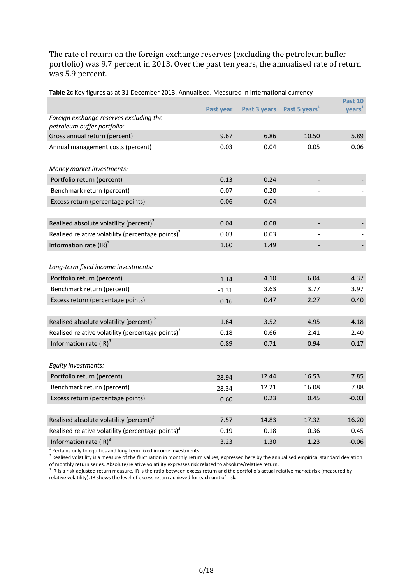The rate of return on the foreign exchange reserves (excluding the petroleum buffer portfolio) was 9.7 percent in 2013. Over the past ten years, the annualised rate of return was 5.9 percent.

| Co ao at be becennoci-2019. I simaanoca. Ivieabarea in international carrent |           |       |                                        | <b>Past 10</b>     |
|------------------------------------------------------------------------------|-----------|-------|----------------------------------------|--------------------|
|                                                                              | Past year |       | Past 3 years Past 5 years <sup>1</sup> | years <sup>1</sup> |
| Foreign exchange reserves excluding the                                      |           |       |                                        |                    |
| petroleum buffer portfolio:                                                  |           |       |                                        |                    |
| Gross annual return (percent)                                                | 9.67      | 6.86  | 10.50                                  | 5.89               |
| Annual management costs (percent)                                            | 0.03      | 0.04  | 0.05                                   | 0.06               |
| Money market investments:                                                    |           |       |                                        |                    |
| Portfolio return (percent)                                                   | 0.13      | 0.24  |                                        |                    |
| Benchmark return (percent)                                                   | 0.07      | 0.20  |                                        |                    |
| Excess return (percentage points)                                            | 0.06      | 0.04  |                                        |                    |
|                                                                              |           |       |                                        |                    |
| Realised absolute volatility (percent) $2$                                   | 0.04      | 0.08  |                                        |                    |
| Realised relative volatility (percentage points) $2$                         | 0.03      | 0.03  |                                        |                    |
| Information rate $\text{(IR)}^3$                                             | 1.60      | 1.49  | $\overline{\phantom{a}}$               |                    |
|                                                                              |           |       |                                        |                    |
| Long-term fixed income investments:                                          |           |       |                                        |                    |
| Portfolio return (percent)                                                   | $-1.14$   | 4.10  | 6.04                                   | 4.37               |
| Benchmark return (percent)                                                   | $-1.31$   | 3.63  | 3.77                                   | 3.97               |
| Excess return (percentage points)                                            | 0.16      | 0.47  | 2.27                                   | 0.40               |
|                                                                              |           |       |                                        |                    |
| Realised absolute volatility (percent) <sup>2</sup>                          | 1.64      | 3.52  | 4.95                                   | 4.18               |
| Realised relative volatility (percentage points) <sup>2</sup>                | 0.18      | 0.66  | 2.41                                   | 2.40               |
| Information rate $\text{(IR)}^3$                                             | 0.89      | 0.71  | 0.94                                   | 0.17               |
| Equity investments:                                                          |           |       |                                        |                    |
| Portfolio return (percent)                                                   | 28.94     | 12.44 | 16.53                                  | 7.85               |
| Benchmark return (percent)                                                   |           | 12.21 | 16.08                                  | 7.88               |
| Excess return (percentage points)                                            | 28.34     | 0.23  | 0.45                                   | $-0.03$            |
|                                                                              | 0.60      |       |                                        |                    |
| Realised absolute volatility (percent) <sup>2</sup>                          | 7.57      | 14.83 | 17.32                                  | 16.20              |
| Realised relative volatility (percentage points) <sup>2</sup>                | 0.19      | 0.18  | 0.36                                   | 0.45               |
| Information rate $\text{(IR)}^3$                                             | 3.23      | 1.30  | 1.23                                   | $-0.06$            |

**Table 2c** Key figures as at 31 December 2013. Annualised. Measured in international currency

 $1$  Pertains only to equities and long-term fixed income investments.

Realised volatility is a measure of the fluctuation in monthly return values, expressed here by the annualised empirical standard deviation

of monthly return series. Absolute/relative volatility expresses risk related to absolute/relative return.<br><sup>3</sup> IR is a risk-adjusted return measure. IR is the ratio between excess return and the portfolio's actual relative relative volatility). IR shows the level of excess return achieved for each unit of risk.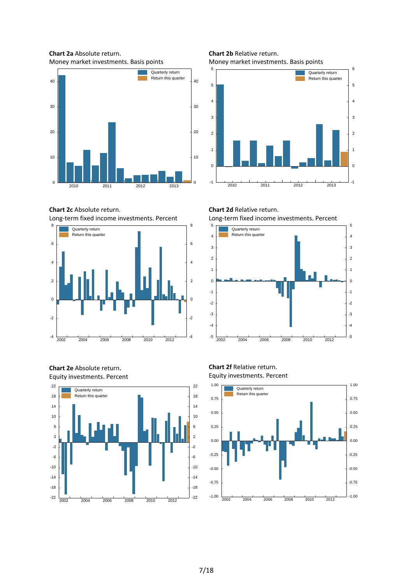**Chart 2a** Absolute return. Money market investments. Basis points



**Chart 2c** Absolute return. Long-term fixed income investments. Percent



**Chart 2e** Absolute return. Equity investments. Percent



**Chart 2b** Relative return. Money market investments. Basis points



**Chart 2d** Relative return. Long-term fixed income investments. Percent



#### **Chart 2f** Relative return. Equity investments. Percent

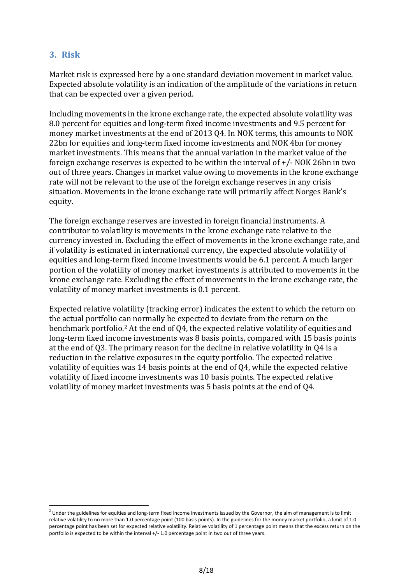## **3. Risk**

1

Market risk is expressed here by a one standard deviation movement in market value. Expected absolute volatility is an indication of the amplitude of the variations in return that can be expected over a given period.

Including movements in the krone exchange rate, the expected absolute volatility was 8.0 percent for equities and long-term fixed income investments and 9.5 percent for money market investments at the end of 2013 Q4. In NOK terms, this amounts to NOK 22bn for equities and long-term fixed income investments and NOK 4bn for money market investments. This means that the annual variation in the market value of the foreign exchange reserves is expected to be within the interval of +/- NOK 26bn in two out of three years. Changes in market value owing to movements in the krone exchange rate will not be relevant to the use of the foreign exchange reserves in any crisis situation. Movements in the krone exchange rate will primarily affect Norges Bank's equity.

The foreign exchange reserves are invested in foreign financial instruments. A contributor to volatility is movements in the krone exchange rate relative to the currency invested in. Excluding the effect of movements in the krone exchange rate, and if volatility is estimated in international currency, the expected absolute volatility of equities and long-term fixed income investments would be 6.1 percent. A much larger portion of the volatility of money market investments is attributed to movements in the krone exchange rate. Excluding the effect of movements in the krone exchange rate, the volatility of money market investments is 0.1 percent.

Expected relative volatility (tracking error) indicates the extent to which the return on the actual portfolio can normally be expected to deviate from the return on the benchmark portfolio.2 At the end of Q4, the expected relative volatility of equities and long-term fixed income investments was 8 basis points, compared with 15 basis points at the end of Q3. The primary reason for the decline in relative volatility in Q4 is a reduction in the relative exposures in the equity portfolio. The expected relative volatility of equities was 14 basis points at the end of Q4, while the expected relative volatility of fixed income investments was 10 basis points. The expected relative volatility of money market investments was 5 basis points at the end of Q4.

 $^2$  Under the guidelines for equities and long-term fixed income investments issued by the Governor, the aim of management is to limit relative volatility to no more than 1.0 percentage point (100 basis points). In the guidelines for the money market portfolio, a limit of 1.0 percentage point has been set for expected relative volatility. Relative volatility of 1 percentage point means that the excess return on the portfolio is expected to be within the interval +/- 1.0 percentage point in two out of three years.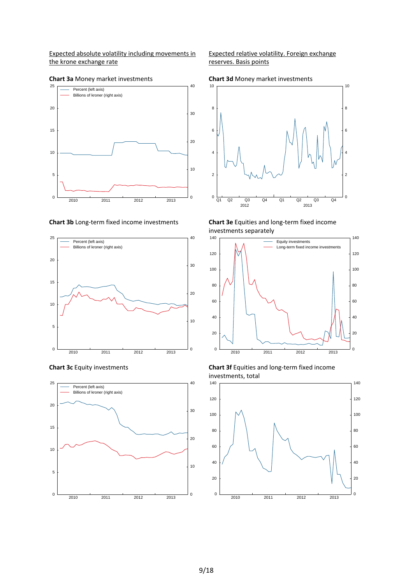Expected absolute volatility including movements in the krone exchange rate



**Chart 3a** Money market investments









Expected relative volatility. Foreign exchange reserves. Basis points









**Chart 3c** Equity investments **Chart 3f** Equities and long-term fixed income investments, total

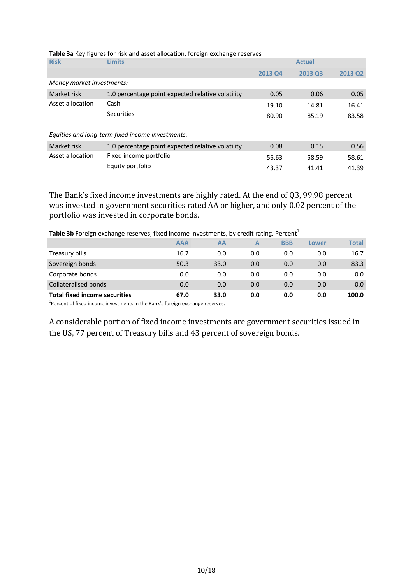| <b>Risk</b>               | <b>Limits</b>                                     |                | <b>Actual</b> |         |
|---------------------------|---------------------------------------------------|----------------|---------------|---------|
|                           |                                                   | <b>2013 Q4</b> | 2013 Q3       | 2013 Q2 |
| Money market investments: |                                                   |                |               |         |
| Market risk               | 1.0 percentage point expected relative volatility | 0.05           | 0.06          | 0.05    |
| Asset allocation          | Cash                                              | 19.10          | 14.81         | 16.41   |
|                           | Securities                                        | 80.90          | 85.19         | 83.58   |
|                           | Equities and long-term fixed income investments:  |                |               |         |
| Market risk               | 1.0 percentage point expected relative volatility | 0.08           | 0.15          | 0.56    |
| Asset allocation          | Fixed income portfolio                            | 56.63          | 58.59         | 58.61   |
|                           | Equity portfolio                                  | 43.37          | 41.41         | 41.39   |

**Table 3a** Key figures for risk and asset allocation, foreign exchange reserves

The Bank's fixed income investments are highly rated. At the end of Q3, 99.98 percent was invested in government securities rated AA or higher, and only 0.02 percent of the portfolio was invested in corporate bonds.

**Table 3b** Foreign exchange reserves, fixed income investments, by credit rating. Percent<sup>1</sup>

|                                                                                                                                                                                                                              | <b>AAA</b> | AА   | А   | <b>BBB</b> | Lower | Total |
|------------------------------------------------------------------------------------------------------------------------------------------------------------------------------------------------------------------------------|------------|------|-----|------------|-------|-------|
| Treasury bills                                                                                                                                                                                                               | 16.7       | 0.0  | 0.0 | 0.0        | 0.0   | 16.7  |
| Sovereign bonds                                                                                                                                                                                                              | 50.3       | 33.0 | 0.0 | 0.0        | 0.0   | 83.3  |
| Corporate bonds                                                                                                                                                                                                              | 0.0        | 0.0  | 0.0 | 0.0        | 0.0   | 0.0   |
| Collateralised bonds                                                                                                                                                                                                         | 0.0        | 0.0  | 0.0 | 0.0        | 0.0   | 0.0   |
| <b>Total fixed income securities</b>                                                                                                                                                                                         | 67.0       | 33.0 | 0.0 | 0.0        | 0.0   | 100.0 |
| $1$ constant of $P$ is a decomposition of the state of the constant $P$ , $P$ is a decomposition of the state of the state of the state of the state of the state of the state of the state of the state of the state of the |            |      |     |            |       |       |

<sup>1</sup>Percent of fixed income investments in the Bank's foreign exchange reserves.

A considerable portion of fixed income investments are government securities issued in the US, 77 percent of Treasury bills and 43 percent of sovereign bonds.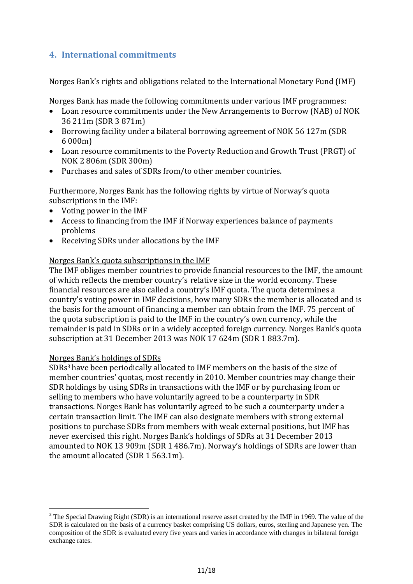## **4. International commitments**

Norges Bank's rights and obligations related to the International Monetary Fund (IMF)

Norges Bank has made the following commitments under various IMF programmes:

- Loan resource commitments under the New Arrangements to Borrow (NAB) of NOK 36 211m (SDR 3 871m)
- Borrowing facility under a bilateral borrowing agreement of NOK 56 127m (SDR 6 000m)
- Loan resource commitments to the Poverty Reduction and Growth Trust (PRGT) of NOK 2 806m (SDR 300m)
- Purchases and sales of SDRs from/to other member countries.

Furthermore, Norges Bank has the following rights by virtue of Norway's quota subscriptions in the IMF:

- Voting power in the IMF
- Access to financing from the IMF if Norway experiences balance of payments problems
- Receiving SDRs under allocations by the IMF

## Norges Bank's quota subscriptions in the IMF

The IMF obliges member countries to provide financial resources to the IMF, the amount of which reflects the member country's relative size in the world economy. These financial resources are also called a country's IMF quota. The quota determines a country's voting power in IMF decisions, how many SDRs the member is allocated and is the basis for the amount of financing a member can obtain from the IMF. 75 percent of the quota subscription is paid to the IMF in the country's own currency, while the remainder is paid in SDRs or in a widely accepted foreign currency. Norges Bank's quota subscription at 31 December 2013 was NOK 17 624m (SDR 1 883.7m).

## Norges Bank's holdings of SDRs

1

SDRs3 have been periodically allocated to IMF members on the basis of the size of member countries' quotas, most recently in 2010. Member countries may change their SDR holdings by using SDRs in transactions with the IMF or by purchasing from or selling to members who have voluntarily agreed to be a counterparty in SDR transactions. Norges Bank has voluntarily agreed to be such a counterparty under a certain transaction limit. The IMF can also designate members with strong external positions to purchase SDRs from members with weak external positions, but IMF has never exercised this right. Norges Bank's holdings of SDRs at 31 December 2013 amounted to NOK 13 909m (SDR 1 486.7m). Norway's holdings of SDRs are lower than the amount allocated (SDR 1 563.1m).

 $3$  The Special Drawing Right (SDR) is an international reserve asset created by the IMF in 1969. The value of the SDR is calculated on the basis of a currency basket comprising US dollars, euros, sterling and Japanese yen. The composition of the SDR is evaluated every five years and varies in accordance with changes in bilateral foreign exchange rates.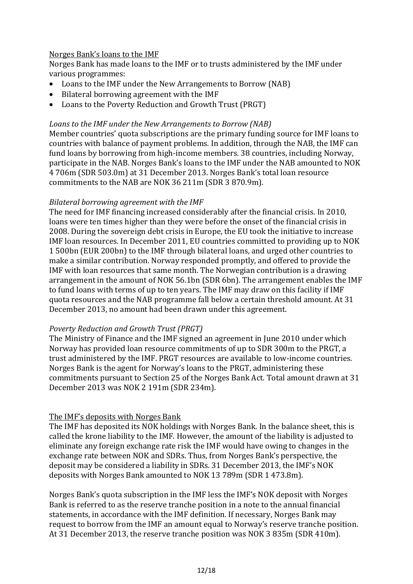## Norges Bank's loans to the IMF

Norges Bank has made loans to the IMF or to trusts administered by the IMF under various programmes:

- Loans to the IMF under the New Arrangements to Borrow (NAB)
- Bilateral borrowing agreement with the IMF
- Loans to the Poverty Reduction and Growth Trust (PRGT)

#### *Loans to the IMF under the New Arrangements to Borrow (NAB)*

Member countries' quota subscriptions are the primary funding source for IMF loans to countries with balance of payment problems. In addition, through the NAB, the IMF can fund loans by borrowing from high-income members. 38 countries, including Norway, participate in the NAB. Norges Bank's loans to the IMF under the NAB amounted to NOK 4 706m (SDR 503.0m) at 31 December 2013. Norges Bank's total loan resource commitments to the NAB are NOK 36 211m (SDR 3 870.9m).

#### *Bilateral borrowing agreement with the IMF*

The need for IMF financing increased considerably after the financial crisis. In 2010, loans were ten times higher than they were before the onset of the financial crisis in 2008. During the sovereign debt crisis in Europe, the EU took the initiative to increase IMF loan resources. In December 2011, EU countries committed to providing up to NOK 1 500bn (EUR 200bn) to the IMF through bilateral loans, and urged other countries to make a similar contribution. Norway responded promptly, and offered to provide the IMF with loan resources that same month. The Norwegian contribution is a drawing arrangement in the amount of NOK 56.1bn (SDR 6bn). The arrangement enables the IMF to fund loans with terms of up to ten years. The IMF may draw on this facility if IMF quota resources and the NAB programme fall below a certain threshold amount. At 31 December 2013, no amount had been drawn under this agreement.

## *Poverty Reduction and Growth Trust (PRGT)*

The Ministry of Finance and the IMF signed an agreement in June 2010 under which Norway has provided loan resource commitments of up to SDR 300m to the PRGT, a trust administered by the IMF. PRGT resources are available to low-income countries. Norges Bank is the agent for Norway's loans to the PRGT, administering these commitments pursuant to Section 25 of the Norges Bank Act. Total amount drawn at 31 December 2013 was NOK 2 191m (SDR 234m).

## The IMF's deposits with Norges Bank

The IMF has deposited its NOK holdings with Norges Bank. In the balance sheet, this is called the krone liability to the IMF. However, the amount of the liability is adjusted to eliminate any foreign exchange rate risk the IMF would have owing to changes in the exchange rate between NOK and SDRs. Thus, from Norges Bank's perspective, the deposit may be considered a liability in SDRs. 31 December 2013, the IMF's NOK deposits with Norges Bank amounted to NOK 13 789m (SDR 1 473.8m).

Norges Bank's quota subscription in the IMF less the IMF's NOK deposit with Norges Bank is referred to as the reserve tranche position in a note to the annual financial statements, in accordance with the IMF definition. If necessary, Norges Bank may request to borrow from the IMF an amount equal to Norway's reserve tranche position. At 31 December 2013, the reserve tranche position was NOK 3 835m (SDR 410m).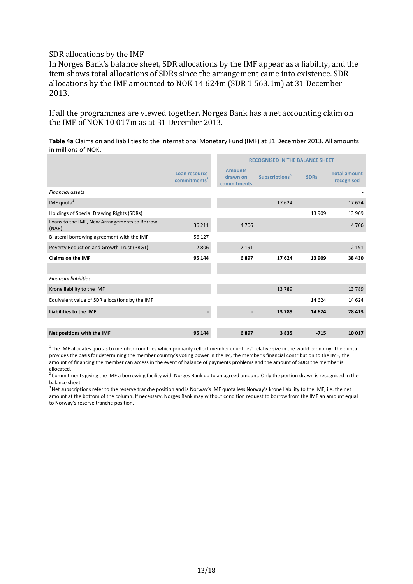#### SDR allocations by the IMF

In Norges Bank's balance sheet, SDR allocations by the IMF appear as a liability, and the item shows total allocations of SDRs since the arrangement came into existence. SDR allocations by the IMF amounted to NOK 14 624m (SDR 1 563.1m) at 31 December 2013.

If all the programmes are viewed together, Norges Bank has a net accounting claim on the IMF of NOK 10 017m as at 31 December 2013.

**Table 4a** Claims on and liabilities to the International Monetary Fund (IMF) at 31 December 2013. All amounts in millions of NOK.

|                                                       |                                           | <b>RECOGNISED IN THE BALANCE SHEET</b>    |                            |             |                                   |
|-------------------------------------------------------|-------------------------------------------|-------------------------------------------|----------------------------|-------------|-----------------------------------|
|                                                       | Loan resource<br>commitments <sup>2</sup> | <b>Amounts</b><br>drawn on<br>commitments | Subscriptions <sup>3</sup> | <b>SDRs</b> | <b>Total amount</b><br>recognised |
| <b>Financial assets</b>                               |                                           |                                           |                            |             |                                   |
| IMF quota $1$                                         |                                           |                                           | 17 624                     |             | 17624                             |
| Holdings of Special Drawing Rights (SDRs)             |                                           |                                           |                            | 13 909      | 13 909                            |
| Loans to the IMF, New Arrangements to Borrow<br>(NAB) | 36 211                                    | 4706                                      |                            |             | 4 7 0 6                           |
| Bilateral borrowing agreement with the IMF            | 56 127                                    | ٠                                         |                            |             |                                   |
| Poverty Reduction and Growth Trust (PRGT)             | 2 8 0 6                                   | 2 1 9 1                                   |                            |             | 2 1 9 1                           |
| <b>Claims on the IMF</b>                              | 95 144                                    | 6897                                      | 17 624                     | 13 909      | 38 430                            |
|                                                       |                                           |                                           |                            |             |                                   |
| <b>Financial liabilities</b>                          |                                           |                                           |                            |             |                                   |
| Krone liability to the IMF                            |                                           |                                           | 13 789                     |             | 13789                             |
| Equivalent value of SDR allocations by the IMF        |                                           |                                           |                            | 14 624      | 14 624                            |
| Liabilities to the IMF                                |                                           |                                           | 13789                      | 14 624      | 28 4 13                           |
|                                                       |                                           |                                           |                            |             |                                   |
| Net positions with the IMF                            | 95 144                                    | 6897                                      | 3835                       | $-715$      | 10 017                            |

 $1$ The IMF allocates quotas to member countries which primarily reflect member countries' relative size in the world economy. The quota provides the basis for determining the member country's voting power in the IM, the member's financial contribution to the IMF, the amount of financing the member can access in the event of balance of payments problems and the amount of SDRs the member is allocated.

 $2$  Commitments giving the IMF a borrowing facility with Norges Bank up to an agreed amount. Only the portion drawn is recognised in the balance sheet.

<sup>3</sup> Net subscriptions refer to the reserve tranche position and is Norway's IMF quota less Norway's krone liability to the IMF, i.e. the net amount at the bottom of the column. If necessary, Norges Bank may without condition request to borrow from the IMF an amount equal to Norway's reserve tranche position.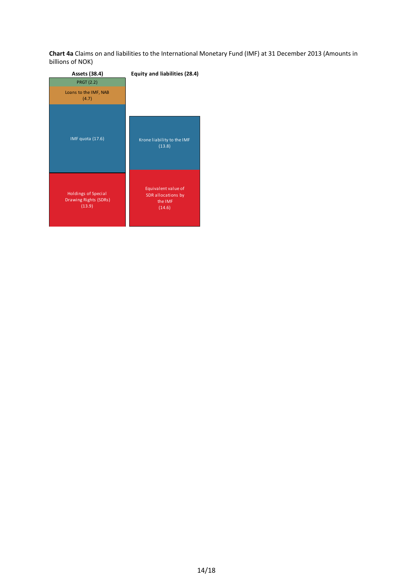**Chart 4a** Claims on and liabilities to the International Monetary Fund (IMF) at 31 December 2013 (Amounts in billions of NOK)

| Assets (38.4)                                          | Equity and liabilities (28.4)                                  |
|--------------------------------------------------------|----------------------------------------------------------------|
| <b>PRGT (2.2)</b>                                      |                                                                |
| Loans to the IMF, NAB<br>(4.7)                         |                                                                |
| IMF quota (17.6)                                       | Krone liability to the IMF<br>(13.8)                           |
| Holdings of Special<br>Drawing Rights (SDRs)<br>(13.9) | Equivalent value of<br>SDR allocations by<br>the IMF<br>(14.6) |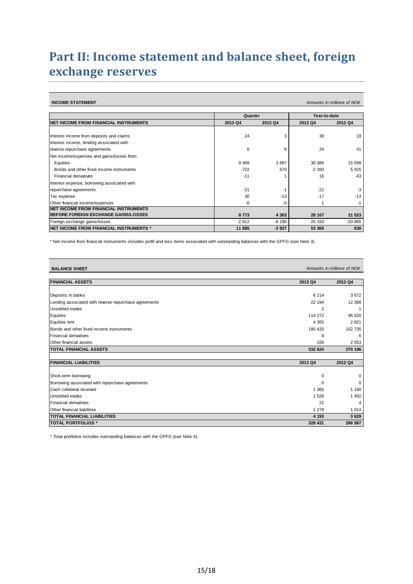## **Part II: Income statement and balance sheet, foreign exchange reserves**

**INCOME STATEMENT** *Amounts in millions of NOK*

|                                                 | Quarter |         | Year-to-date |          |
|-------------------------------------------------|---------|---------|--------------|----------|
| INET INCOME FROM FINANCIAL INSTRUMENTS          | 2013 Q4 | 2012 Q4 | 2013 Q4      | 2012 Q4  |
|                                                 |         |         |              |          |
| Interest income from deposits and claims        | 24      | 3       | 38           | 19       |
| Interest income, lending associated with        |         |         |              |          |
| reverse repurchase agreements                   | 6       | 8       | 24           | 41       |
| Net income/expenses and gains/losses from:      |         |         |              |          |
| Equities                                        | 9469    | 3687    | 30 386       | 15 598   |
| Bonds and other fixed income instruments        | $-722$  | 679     | $-2260$      | 5925     |
| Financial derivatives                           | $-11$   |         | 16           | $-43$    |
| Interest expense, borrowing associated with     |         |         |              |          |
| repurchase agreements                           | $-21$   | $-1$    | $-22$        | $-3$     |
| Tax expense                                     | 30      | $-13$   | $-17$        | $-13$    |
| Other financial income/expenses                 | $-0$    | -0      |              | -1       |
| INET INCOME FROM FINANCIAL INSTRUMENTS          |         |         |              |          |
| <b>IBEFORE FOREIGN EXCHANGE GAINS/LOSSES</b>    | 8773    | 4 3 6 3 | 28 167       | 21 5 23  |
| Foreign exchange gains/losses                   | 2912    | $-8290$ | 25 193       | $-20885$ |
| <b>INET INCOME FROM FINANCIAL INSTRUMENTS *</b> | 11 685  | $-3927$ | 53 360       | 638      |

\* Net income from financial instruments includes profit and loss items associated with outstanding balances with the GPFG (see Note 3).

| <b>BALANCE SHEET</b>                                  |                | Amounts in millions of NOK |
|-------------------------------------------------------|----------------|----------------------------|
| <b>FINANCIAL ASSETS</b>                               | 2013 Q4        | 2012 Q4                    |
|                                                       |                |                            |
| Deposits in banks                                     | 6 2 1 4        | 3672                       |
| Lending associated with reverse repurchase agreements | 22 194         | 12 3 88                    |
| Unsettled trades                                      | $\overline{2}$ |                            |
| Equities                                              | 114 272        | 96 520                     |
| <b>Equities lent</b>                                  | 4 3 5 5        | 2821                       |
| Bonds and other fixed income instruments              | 185 420        | 152 735                    |
| Financial derivatives                                 | 8              | 6                          |
| Other financial assets                                | 159            | 2 0 5 3                    |
| <b>TOTAL FINANCIAL ASSETS</b>                         | 332 624        | 270 196                    |
|                                                       |                |                            |
| <b>FINANCIAL LIABILITIES</b>                          | 2013 Q4        | 2012 Q4                    |
| Short-term borrowing                                  | 0              | $\Omega$                   |
| Borrowing associated with repurchase agreements       |                | $\Omega$                   |
| Cash collateral received                              | 1 3 6 5        | 1 1 6 0                    |
| Unsettled trades                                      | 1 5 2 8        | 1 4 5 0                    |
| Financial derivatives                                 | 21             |                            |
| <b>Other financial liabilities</b>                    | 1 2 7 8        | 1 0 1 4                    |
| <b>TOTAL FINANCIAL LIABILITIES</b>                    | 4 1 9 3        | 3629                       |
| <b>TOTAL PORTFOLIOS *</b>                             | 328 431        | 266 567                    |

\* Total portfolios includes outstanding balances with the GPFG (see Note 4).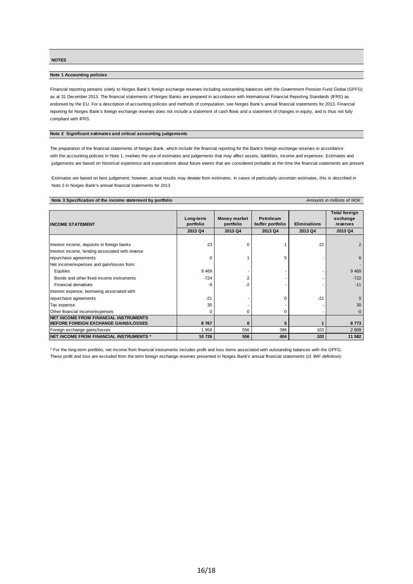**NOTES**

#### **Note 1 Accounting policies**

Financial reporting pertains solely to Norges Bank's foreign exchange reserves including outstanding balances with the Government Pension Fund Global (GPFG) as at 31 December 2013. The financial statements of Norges Banks are prepared in accordance with International Financial Reporting Standards (IFRS) as endorsed by the EU. For a description of accounting policies and methods of computation, see Norges Bank's annual financial statements for 2013. Financial reporting for Norges Bank's foreign exchange reserves does not include a statement of cash flows and a statement of changes in equity, and is thus not fully compliant with IFRS.

#### **Note 2 Significant estimates and critical accounting judgements**

The preparation of the financial statements of Norges Bank, which include the financial reporting for the Bank's foreign exchange reserves in accordance with the accounting policies in Note 1, involves the use of estimates and judgements that may affect assets, liabilities, income and expenses. Estimates and judgements are based on historical experience and expectations about future events that are considered probable at the time the financial statements are present

Estimates are based on best judgement; however, actual results may deviate from estimates. In cases of particularly uncertain estimates, this is described in Note 2 in Norges Bank's annual financial statements for 2013.

**Amounts in millions of NOK** 

| <b>IINCOME STATEMENT</b>                         | Long-term<br>portfolio | Money market<br>portfolio | Petroleum<br>buffer portfolio | <b>Eliminations</b> | <b>Total foreign</b><br>exchange<br>reserves |
|--------------------------------------------------|------------------------|---------------------------|-------------------------------|---------------------|----------------------------------------------|
|                                                  | 2013 Q4                | 2013 Q4                   | 2013 Q4                       | 2013 Q4             | 2013 Q4                                      |
|                                                  |                        |                           |                               |                     |                                              |
| Interest income, deposits in foreign banks       | 23                     |                           |                               | 22                  |                                              |
| Interest income, lending associated with reverse |                        |                           |                               |                     |                                              |
| repurchase agreements                            | 0                      |                           | 5                             |                     |                                              |
| Net income/expenses and gain/losses from:        |                        |                           |                               |                     |                                              |
| Equities                                         | 9 4 6 9                |                           |                               |                     | 9 4 6 9                                      |
| Bonds and other fixed income instruments         | $-724$                 |                           |                               |                     | $-722$                                       |
| <b>Financial derivatives</b>                     | -9                     | -2                        |                               |                     | $-11$                                        |
| Interest expense, borrowing associated with      |                        |                           |                               |                     |                                              |
| repurchase agreements                            | $-21$                  |                           | ი                             | $-21$               |                                              |
| Tax expense                                      | 30                     |                           |                               |                     | 30                                           |
| Other financial income/expenses                  | 0                      |                           | 0                             |                     | -0                                           |
| NET INCOME FROM FINANCIAL INSTRUMENTS            |                        |                           |                               |                     |                                              |
| <b>BEFORE FOREIGN EXCHANGE GAINS/LOSSES</b>      | 8767                   |                           | 5                             |                     | 8773                                         |
| Foreign exchange gains/losses                    | 1 958                  | 556                       | 398                           | 103                 | 2 8 0 9                                      |
| INET INCOME FROM FINANCIAL INSTRUMENTS *         | 10726                  | 556                       | 404                           | 103                 | 11 582                                       |

\* For the long-term portfolio, net income from financial instruments includes profit and loss items associated with outstanding balances with the GPFG. These profit and loss are excluded from the term foreign exchange reserves presented in Norges Bank's annual financial statements (cf. IMF definition).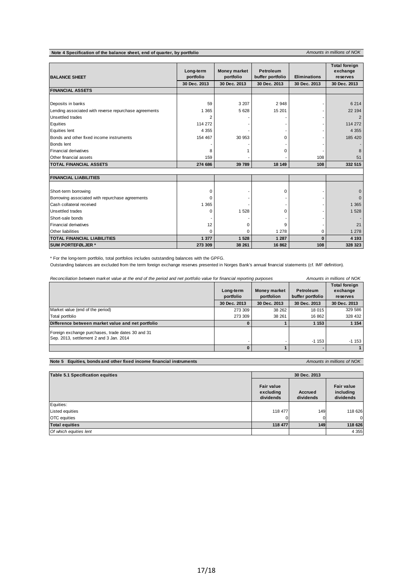**Note 4 Specification of the balance sheet, end of quarter, by portfolio** *Amounts in millions of NOK* 

| <b>BALANCE SHEET</b>                                  | Long-term<br>portfolio | <b>Money market</b><br>portfolio | Petroleum<br>buffer portfolio | <b>Eliminations</b> | <b>Total foreign</b><br>exchange<br>reserves |
|-------------------------------------------------------|------------------------|----------------------------------|-------------------------------|---------------------|----------------------------------------------|
|                                                       | 30 Dec. 2013           | 30 Dec. 2013                     | 30 Dec. 2013                  | 30 Dec. 2013        | 30 Dec. 2013                                 |
| <b>FINANCIAL ASSETS</b>                               |                        |                                  |                               |                     |                                              |
|                                                       |                        |                                  |                               |                     |                                              |
| Deposits in banks                                     | 59                     | 3 2 0 7                          | 2 9 4 8                       |                     | 6 2 1 4                                      |
| Lending associated with reverse repurchase agreements | 1 3 6 5                | 5 6 28                           | 15 201                        |                     | 22 194                                       |
| <b>Unsettled trades</b>                               | $\overline{2}$         |                                  |                               |                     |                                              |
| Equities                                              | 114 272                |                                  |                               |                     | 114 272                                      |
| <b>Equities lent</b>                                  | 4 3 5 5                |                                  |                               |                     | 4 3 5 5                                      |
| Bonds and other fixed income instruments              | 154 467                | 30 953                           | U                             |                     | 185 420                                      |
| Bonds lent                                            |                        |                                  |                               |                     |                                              |
| <b>Financial derivatives</b>                          | 8                      |                                  | 0                             |                     |                                              |
| Other financial assets                                | 159                    |                                  |                               | 108                 | 51                                           |
| <b>TOTAL FINANCIAL ASSETS</b>                         | 274 686                | 39 789                           | 18 149                        | 108                 | 332 515                                      |
| <b>FINANCIAL LIABILITIES</b>                          |                        |                                  |                               |                     |                                              |
|                                                       |                        |                                  |                               |                     |                                              |
| Short-term borrowing                                  | 0                      |                                  | 0                             |                     |                                              |
| Borrowing associated with repurchase agreements       | 0                      |                                  |                               |                     |                                              |
| Cash collateral received                              | 1 3 6 5                |                                  |                               |                     | 1 3 6 5                                      |
| <b>Unsettled trades</b>                               | 0                      | 1 5 2 8                          | 0                             |                     | 1 5 28                                       |
| Short-sale bonds                                      |                        |                                  |                               |                     |                                              |
| <b>Financial derivatives</b>                          | 12                     | $\Omega$                         | 9                             |                     | 21                                           |
| Other liabilities                                     | 0                      | $\Omega$                         | 1 2 7 8                       | 0                   | 1 278                                        |
| <b>TOTAL FINANCIAL LIABILITIES</b>                    | 1 377                  | 1 5 2 8                          | 1 2 8 7                       | O                   | 4 1 9 3                                      |
| <b>SUM PORTEFØLJER *</b>                              | 273 309                | 38 261                           | 16 862                        | 108                 | 328 323                                      |

\* For the long-term portfolio, total portfolios includes outstanding balances with the GPFG.

Outstanding balances are excluded from the term foreign exchange reserves presented in Norges Bank's annual financial statements (cf. IMF definition).

| Reconciliation between market value at the end of the period and net portfolio value for financial reporting purposes |                        | Amounts in millions of NOK                                  |              |                                              |  |
|-----------------------------------------------------------------------------------------------------------------------|------------------------|-------------------------------------------------------------|--------------|----------------------------------------------|--|
|                                                                                                                       | Long-term<br>portfolio | Money market<br>Petroleum<br>portfolion<br>buffer portfolio |              | <b>Total foreign</b><br>exchange<br>reserves |  |
|                                                                                                                       | 30 Dec. 2013           | 30 Dec. 2013                                                | 30 Dec. 2013 | 30 Dec. 2013                                 |  |
| Market value (end of the period)                                                                                      | 273 309                | 38 262                                                      | 18 015       | 329 586                                      |  |
| Total portfolio                                                                                                       | 273 309                | 38 261                                                      | 16 862       | 328 432                                      |  |
| Difference between market value and net portfolio                                                                     |                        |                                                             | 1 1 5 3      | 1 1 5 4                                      |  |
| Foreign exchange purchases, trade dates 30 and 31<br>Sep. 2013, settlement 2 and 3 Jan. 2014                          |                        |                                                             | $-1153$      | $-1153$                                      |  |
|                                                                                                                       |                        |                                                             |              |                                              |  |

#### **Note 5 Equities, bonds and other fixed income financial instruments** *Amounts in millions of NOK*

| <b>Table 5.1 Specification equities</b> | 30 Dec. 2013                                |                      |                                             |  |
|-----------------------------------------|---------------------------------------------|----------------------|---------------------------------------------|--|
|                                         | <b>Fair value</b><br>excluding<br>dividends | Accrued<br>dividends | <b>Fair value</b><br>including<br>dividends |  |
| Equities:                               |                                             |                      |                                             |  |
| <b>Listed equities</b>                  | 118 477                                     | 149                  | 118 626                                     |  |
| <b>OTC</b> equities                     |                                             |                      | $\Omega$                                    |  |
| <b>Total equities</b>                   | 118 477                                     | 149                  | 118 626                                     |  |
| Of which equities lent                  |                                             |                      | 4 3 5 5                                     |  |